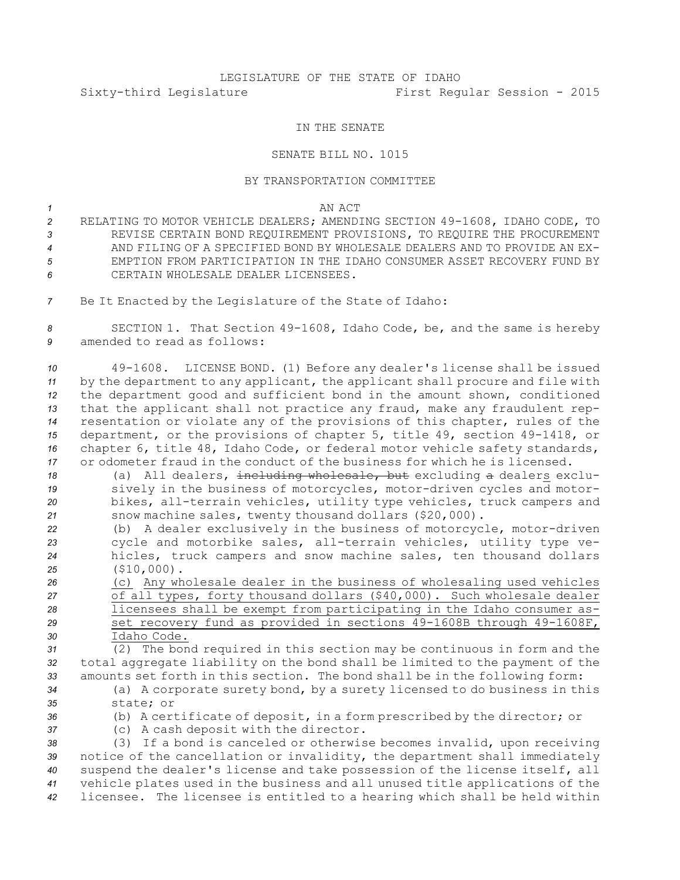## LEGISLATURE OF THE STATE OF IDAHO Sixty-third Legislature First Regular Session - 2015

## IN THE SENATE

## SENATE BILL NO. 1015

## BY TRANSPORTATION COMMITTEE

*1* AN ACT

 RELATING TO MOTOR VEHICLE DEALERS; AMENDING SECTION 49-1608, IDAHO CODE, TO REVISE CERTAIN BOND REQUIREMENT PROVISIONS, TO REQUIRE THE PROCUREMENT AND FILING OF A SPECIFIED BOND BY WHOLESALE DEALERS AND TO PROVIDE AN EX- EMPTION FROM PARTICIPATION IN THE IDAHO CONSUMER ASSET RECOVERY FUND BY CERTAIN WHOLESALE DEALER LICENSEES.

*<sup>7</sup>* Be It Enacted by the Legislature of the State of Idaho:

*<sup>8</sup>* SECTION 1. That Section 49-1608, Idaho Code, be, and the same is hereby *9* amended to read as follows:

 49-1608. LICENSE BOND. (1) Before any dealer's license shall be issued by the department to any applicant, the applicant shall procure and file with the department good and sufficient bond in the amount shown, conditioned that the applicant shall not practice any fraud, make any fraudulent rep- resentation or violate any of the provisions of this chapter, rules of the department, or the provisions of chapter 5, title 49, section 49-1418, or chapter 6, title 48, Idaho Code, or federal motor vehicle safety standards, or odometer fraud in the conduct of the business for which he is licensed.

 (a) All dealers, including wholesale, but excluding <sup>a</sup> dealers exclu- sively in the business of motorcycles, motor-driven cycles and motor- bikes, all-terrain vehicles, utility type vehicles, truck campers and snow machine sales, twenty thousand dollars (\$20,000).

 (b) <sup>A</sup> dealer exclusively in the business of motorcycle, motor-driven cycle and motorbike sales, all-terrain vehicles, utility type ve- hicles, truck campers and snow machine sales, ten thousand dollars (\$10,000).

 (c) Any wholesale dealer in the business of wholesaling used vehicles of all types, forty thousand dollars (\$40,000). Such wholesale dealer licensees shall be exempt from participating in the Idaho consumer as- set recovery fund as provided in sections 49-1608B through 49-1608F, Idaho Code.

*<sup>31</sup>* (2) The bond required in this section may be continuous in form and the *<sup>32</sup>* total aggregate liability on the bond shall be limited to the payment of the *<sup>33</sup>* amounts set forth in this section. The bond shall be in the following form:

- *<sup>34</sup>* (a) <sup>A</sup> corporate surety bond, by <sup>a</sup> surety licensed to do business in this *35* state; or
- 
- *<sup>36</sup>* (b) <sup>A</sup> certificate of deposit, in <sup>a</sup> form prescribed by the director; or *<sup>37</sup>* (c) <sup>A</sup> cash deposit with the director.

 (3) If <sup>a</sup> bond is canceled or otherwise becomes invalid, upon receiving notice of the cancellation or invalidity, the department shall immediately suspend the dealer's license and take possession of the license itself, all vehicle plates used in the business and all unused title applications of the licensee. The licensee is entitled to <sup>a</sup> hearing which shall be held within